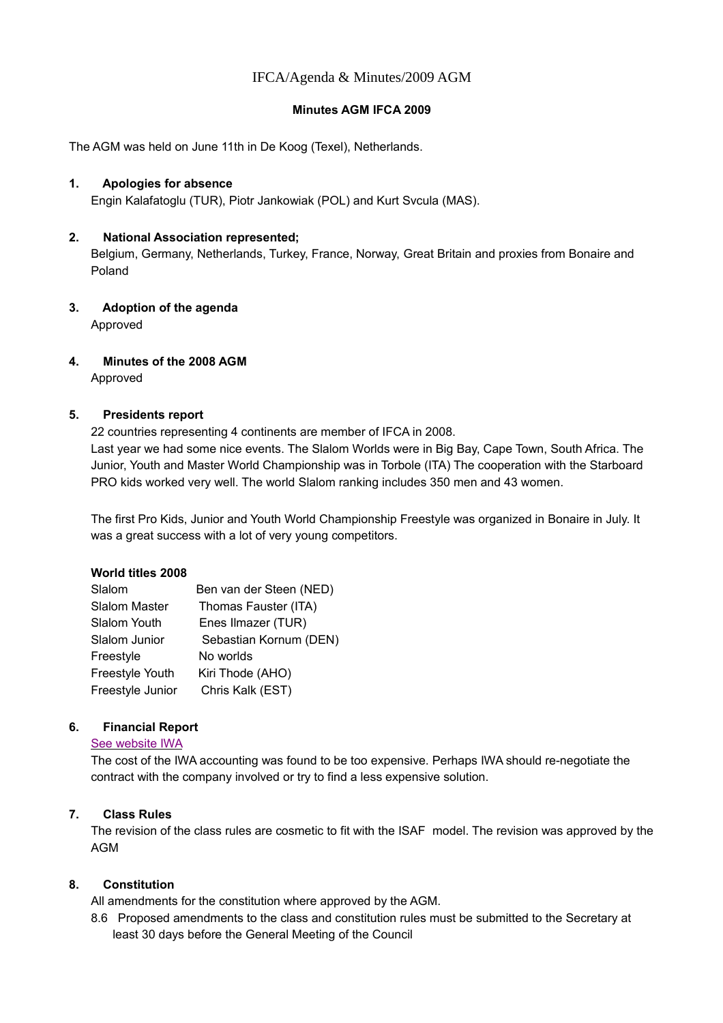# IFCA/Agenda & Minutes/2009 AGM

### **Minutes AGM IFCA 2009**

The AGM was held on June 11th in De Koog (Texel), Netherlands.

### **1. Apologies for absence**

Engin Kalafatoglu (TUR), Piotr Jankowiak (POL) and Kurt Svcula (MAS).

## **2. National Association represented;**

Belgium, Germany, Netherlands, Turkey, France, Norway, Great Britain and proxies from Bonaire and Poland

**3. Adoption of the agenda** Approved

# **4. Minutes of the 2008 AGM**

Approved

## **5. Presidents report**

22 countries representing 4 continents are member of IFCA in 2008.

Last year we had some nice events. The Slalom Worlds were in Big Bay, Cape Town, South Africa. The Junior, Youth and Master World Championship was in Torbole (ITA) The cooperation with the Starboard PRO kids worked very well. The world Slalom ranking includes 350 men and 43 women.

The first Pro Kids, Junior and Youth World Championship Freestyle was organized in Bonaire in July. It was a great success with a lot of very young competitors.

#### **World titles 2008**

| Slalom           | Ben van der Steen (NED) |
|------------------|-------------------------|
| Slalom Master    | Thomas Fauster (ITA)    |
| Slalom Youth     | Enes Ilmazer (TUR)      |
| Slalom Junior    | Sebastian Kornum (DEN)  |
| Freestyle        | No worlds               |
| Freestyle Youth  | Kiri Thode (AHO)        |
| Freestyle Junior | Chris Kalk (EST)        |
|                  |                         |

# **6. Financial Report**

#### [See website IWA](http://www.internationalwindsurfing.com/windsurfing_competion_0019v01.htm)

The cost of the IWA accounting was found to be too expensive. Perhaps IWA should re-negotiate the contract with the company involved or try to find a less expensive solution.

#### **7. Class Rules**

The revision of the class rules are cosmetic to fit with the ISAF model. The revision was approved by the AGM

# **8. Constitution**

All amendments for the constitution where approved by the AGM.

8.6 Proposed amendments to the class and constitution rules must be submitted to the Secretary at least 30 days before the General Meeting of the Council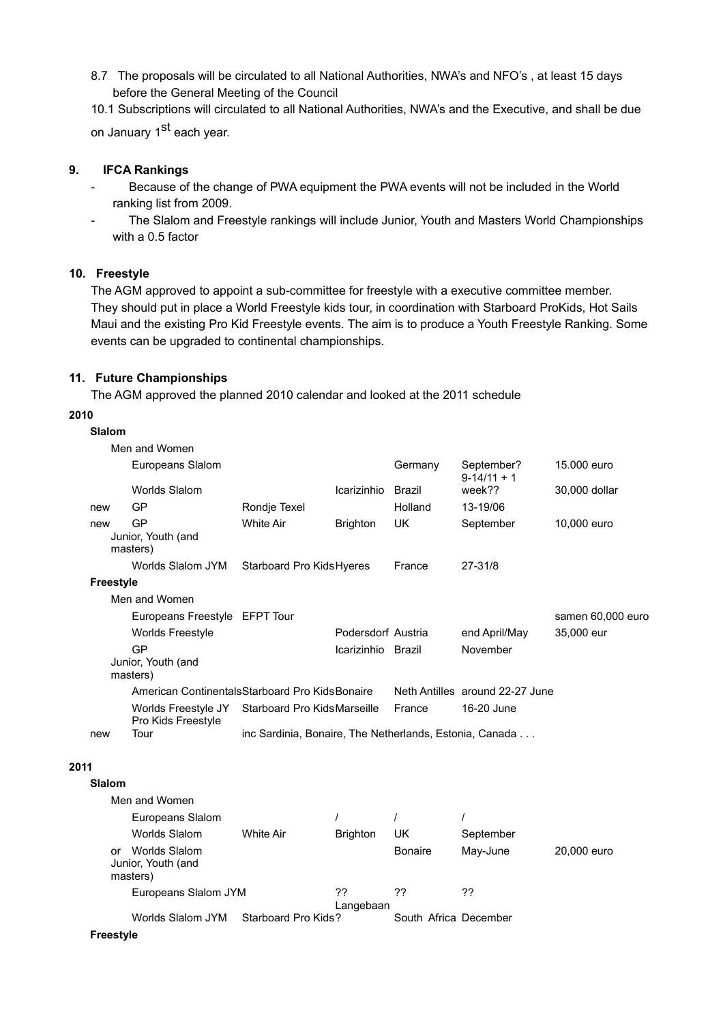8.7 The proposals will be circulated to all National Authorities, NWA's and NFO's , at least 15 days before the General Meeting of the Council

10.1 Subscriptions will circulated to all National Authorities, NWA's and the Executive, and shall be due on January 1<sup>st</sup> each year.

## **9. IFCA Rankings**

- Because of the change of PWA equipment the PWA events will not be included in the World ranking list from 2009.
- The Slalom and Freestyle rankings will include Junior, Youth and Masters World Championships with a 0.5 factor

## **10. Freestyle**

The AGM approved to appoint a sub-committee for freestyle with a executive committee member. They should put in place a World Freestyle kids tour, in coordination with Starboard ProKids, Hot Sails Maui and the existing Pro Kid Freestyle events. The aim is to produce a Youth Freestyle Ranking. Some events can be upgraded to continental championships.

## **11. Future Championships**

The AGM approved the planned 2010 calendar and looked at the 2011 schedule

#### **2010**

**Slalom**

|      |                  | Men and Women                                                   |                              |                    |         |                                 |                   |
|------|------------------|-----------------------------------------------------------------|------------------------------|--------------------|---------|---------------------------------|-------------------|
|      |                  | Europeans Slalom                                                |                              |                    | Germany | September?<br>$9-14/11 + 1$     | 15.000 euro       |
|      |                  | <b>Worlds Slalom</b>                                            |                              | Icarizinhio        | Brazil  | week??                          | 30,000 dollar     |
|      | new              | GP                                                              | Rondje Texel                 |                    | Holland | 13-19/06                        |                   |
|      | new              | GP<br>Junior, Youth (and<br>masters)                            | <b>White Air</b>             | <b>Brighton</b>    | UK.     | September                       | 10,000 euro       |
|      |                  | Worlds Slalom JYM                                               | Starboard Pro Kids Hyeres    |                    | France  | 27-31/8                         |                   |
|      | <b>Freestyle</b> |                                                                 |                              |                    |         |                                 |                   |
|      |                  | Men and Women                                                   |                              |                    |         |                                 |                   |
|      |                  | Europeans Freestyle EFPT Tour                                   |                              |                    |         |                                 | samen 60,000 euro |
|      |                  | <b>Worlds Freestyle</b>                                         |                              | Podersdorf Austria |         | end April/May                   | 35,000 eur        |
|      |                  | GP<br>Junior, Youth (and<br>masters)                            |                              | Icarizinhio Brazil |         | November                        |                   |
|      |                  | American ContinentalsStarboard Pro KidsBonaire                  |                              |                    |         | Neth Antilles around 22-27 June |                   |
|      |                  | Worlds Freestyle JY<br>Pro Kids Freestyle                       | Starboard Pro Kids Marseille |                    | France  | 16-20 June                      |                   |
|      | new              | inc Sardinia, Bonaire, The Netherlands, Estonia, Canada<br>Tour |                              |                    |         |                                 |                   |
| 2011 |                  |                                                                 |                              |                    |         |                                 |                   |
|      | Slalom           |                                                                 |                              |                    |         |                                 |                   |
|      |                  | Men and Women                                                   |                              |                    |         |                                 |                   |
|      |                  | <b>Europeans Slalom</b>                                         |                              |                    |         |                                 |                   |

|    | Europeans Slalom<br>Worlds Slalom               | White Air           | <b>Brighton</b> | UK                    | September |             |
|----|-------------------------------------------------|---------------------|-----------------|-----------------------|-----------|-------------|
| Ωr | Worlds Slalom<br>Junior, Youth (and<br>masters) |                     |                 | <b>Bonaire</b>        | May-June  | 20,000 euro |
|    | Europeans Slalom JYM                            |                     | 22<br>Langebaan | 77                    | 22        |             |
|    | Worlds Slalom JYM                               | Starboard Pro Kids? |                 | South Africa December |           |             |

**Freestyle**